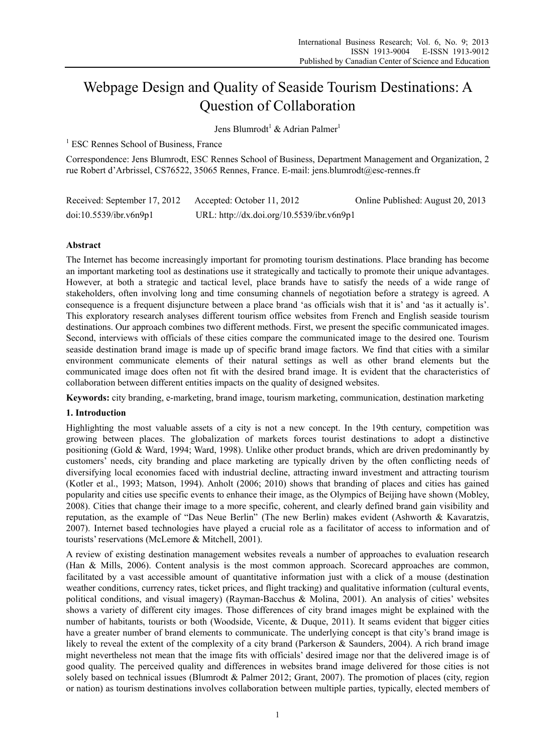# Webpage Design and Quality of Seaside Tourism Destinations: A Question of Collaboration

Jens Blumrodt<sup>1</sup> & Adrian Palmer<sup>1</sup>

<sup>1</sup> ESC Rennes School of Business, France

Correspondence: Jens Blumrodt, ESC Rennes School of Business, Department Management and Organization, 2 rue Robert d'Arbrissel, CS76522, 35065 Rennes, France. E-mail: jens.blumrodt@esc-rennes.fr

| Received: September 17, 2012 | Accepted: October 11, 2012                | Online Published: August 20, 2013 |
|------------------------------|-------------------------------------------|-----------------------------------|
| doi:10.5539/ibr.v6n9p1       | URL: http://dx.doi.org/10.5539/ibr.v6n9p1 |                                   |

# **Abstract**

The Internet has become increasingly important for promoting tourism destinations. Place branding has become an important marketing tool as destinations use it strategically and tactically to promote their unique advantages. However, at both a strategic and tactical level, place brands have to satisfy the needs of a wide range of stakeholders, often involving long and time consuming channels of negotiation before a strategy is agreed. A consequence is a frequent disjuncture between a place brand 'as officials wish that it is' and 'as it actually is'. This exploratory research analyses different tourism office websites from French and English seaside tourism destinations. Our approach combines two different methods. First, we present the specific communicated images. Second, interviews with officials of these cities compare the communicated image to the desired one. Tourism seaside destination brand image is made up of specific brand image factors. We find that cities with a similar environment communicate elements of their natural settings as well as other brand elements but the communicated image does often not fit with the desired brand image. It is evident that the characteristics of collaboration between different entities impacts on the quality of designed websites.

**Keywords:** city branding, e-marketing, brand image, tourism marketing, communication, destination marketing

# **1. Introduction**

Highlighting the most valuable assets of a city is not a new concept. In the 19th century, competition was growing between places. The globalization of markets forces tourist destinations to adopt a distinctive positioning (Gold & Ward, 1994; Ward, 1998). Unlike other product brands, which are driven predominantly by customers' needs, city branding and place marketing are typically driven by the often conflicting needs of diversifying local economies faced with industrial decline, attracting inward investment and attracting tourism (Kotler et al., 1993; Matson, 1994). Anholt (2006; 2010) shows that branding of places and cities has gained popularity and cities use specific events to enhance their image, as the Olympics of Beijing have shown (Mobley, 2008). Cities that change their image to a more specific, coherent, and clearly defined brand gain visibility and reputation, as the example of "Das Neue Berlin" (The new Berlin) makes evident (Ashworth & Kavaratzis, 2007). Internet based technologies have played a crucial role as a facilitator of access to information and of tourists' reservations (McLemore & Mitchell, 2001).

A review of existing destination management websites reveals a number of approaches to evaluation research (Han & Mills, 2006). Content analysis is the most common approach. Scorecard approaches are common, facilitated by a vast accessible amount of quantitative information just with a click of a mouse (destination weather conditions, currency rates, ticket prices, and flight tracking) and qualitative information (cultural events, political conditions, and visual imagery) (Rayman-Bacchus & Molina, 2001). An analysis of cities' websites shows a variety of different city images. Those differences of city brand images might be explained with the number of habitants, tourists or both (Woodside, Vicente, & Duque, 2011). It seams evident that bigger cities have a greater number of brand elements to communicate. The underlying concept is that city's brand image is likely to reveal the extent of the complexity of a city brand (Parkerson & Saunders, 2004). A rich brand image might nevertheless not mean that the image fits with officials' desired image nor that the delivered image is of good quality. The perceived quality and differences in websites brand image delivered for those cities is not solely based on technical issues (Blumrodt & Palmer 2012; Grant, 2007). The promotion of places (city, region or nation) as tourism destinations involves collaboration between multiple parties, typically, elected members of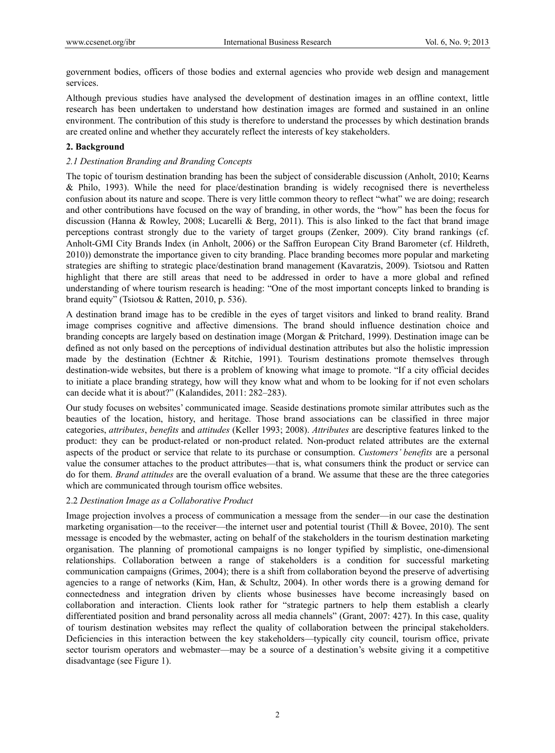government bodies, officers of those bodies and external agencies who provide web design and management services.

Although previous studies have analysed the development of destination images in an offline context, little research has been undertaken to understand how destination images are formed and sustained in an online environment. The contribution of this study is therefore to understand the processes by which destination brands are created online and whether they accurately reflect the interests of key stakeholders.

# **2. Background**

# *2.1 Destination Branding and Branding Concepts*

The topic of tourism destination branding has been the subject of considerable discussion (Anholt, 2010; Kearns & Philo, 1993). While the need for place/destination branding is widely recognised there is nevertheless confusion about its nature and scope. There is very little common theory to reflect "what" we are doing; research and other contributions have focused on the way of branding, in other words, the "how" has been the focus for discussion (Hanna & Rowley, 2008; Lucarelli & Berg, 2011). This is also linked to the fact that brand image perceptions contrast strongly due to the variety of target groups (Zenker, 2009). City brand rankings (cf. Anholt-GMI City Brands Index (in Anholt, 2006) or the Saffron European City Brand Barometer (cf. Hildreth, 2010)) demonstrate the importance given to city branding. Place branding becomes more popular and marketing strategies are shifting to strategic place/destination brand management (Kavaratzis, 2009). Tsiotsou and Ratten highlight that there are still areas that need to be addressed in order to have a more global and refined understanding of where tourism research is heading: "One of the most important concepts linked to branding is brand equity" (Tsiotsou & Ratten, 2010, p. 536).

A destination brand image has to be credible in the eyes of target visitors and linked to brand reality. Brand image comprises cognitive and affective dimensions. The brand should influence destination choice and branding concepts are largely based on destination image (Morgan & Pritchard, 1999). Destination image can be defined as not only based on the perceptions of individual destination attributes but also the holistic impression made by the destination (Echtner  $\&$  Ritchie, 1991). Tourism destinations promote themselves through destination-wide websites, but there is a problem of knowing what image to promote. "If a city official decides to initiate a place branding strategy, how will they know what and whom to be looking for if not even scholars can decide what it is about?" (Kalandides, 2011: 282–283).

Our study focuses on websites' communicated image. Seaside destinations promote similar attributes such as the beauties of the location, history, and heritage. Those brand associations can be classified in three major categories, *attributes*, *benefits* and *attitudes* (Keller 1993; 2008). *Attributes* are descriptive features linked to the product: they can be product-related or non-product related. Non-product related attributes are the external aspects of the product or service that relate to its purchase or consumption. *Customers' benefits* are a personal value the consumer attaches to the product attributes—that is, what consumers think the product or service can do for them. *Brand attitudes* are the overall evaluation of a brand. We assume that these are the three categories which are communicated through tourism office websites.

# 2.2 *Destination Image as a Collaborative Product*

Image projection involves a process of communication a message from the sender—in our case the destination marketing organisation—to the receiver—the internet user and potential tourist (Thill & Bovee, 2010). The sent message is encoded by the webmaster, acting on behalf of the stakeholders in the tourism destination marketing organisation. The planning of promotional campaigns is no longer typified by simplistic, one-dimensional relationships. Collaboration between a range of stakeholders is a condition for successful marketing communication campaigns (Grimes, 2004); there is a shift from collaboration beyond the preserve of advertising agencies to a range of networks (Kim, Han, & Schultz, 2004). In other words there is a growing demand for connectedness and integration driven by clients whose businesses have become increasingly based on collaboration and interaction. Clients look rather for "strategic partners to help them establish a clearly differentiated position and brand personality across all media channels" (Grant, 2007: 427). In this case, quality of tourism destination websites may reflect the quality of collaboration between the principal stakeholders. Deficiencies in this interaction between the key stakeholders—typically city council, tourism office, private sector tourism operators and webmaster—may be a source of a destination's website giving it a competitive disadvantage (see Figure 1).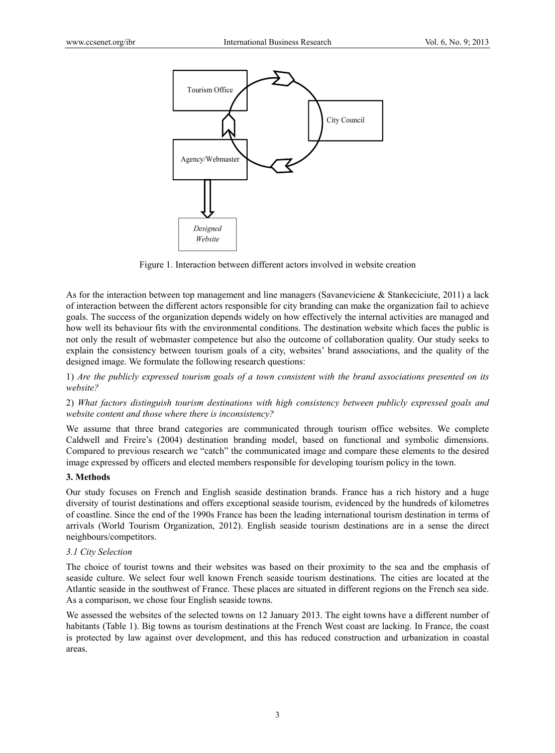

Figure 1. Interaction between different actors involved in website creation

As for the interaction between top management and line managers (Savaneviciene  $\&$  Stankeciciute, 2011) a lack of interaction between the different actors responsible for city branding can make the organization fail to achieve goals. The success of the organization depends widely on how effectively the internal activities are managed and how well its behaviour fits with the environmental conditions. The destination website which faces the public is not only the result of webmaster competence but also the outcome of collaboration quality. Our study seeks to explain the consistency between tourism goals of a city, websites' brand associations, and the quality of the designed image. We formulate the following research questions:

1) *Are the publicly expressed tourism goals of a town consistent with the brand associations presented on its website?* 

2) *What factors distinguish tourism destinations with high consistency between publicly expressed goals and website content and those where there is inconsistency?* 

We assume that three brand categories are communicated through tourism office websites. We complete Caldwell and Freire's (2004) destination branding model, based on functional and symbolic dimensions. Compared to previous research we "catch" the communicated image and compare these elements to the desired image expressed by officers and elected members responsible for developing tourism policy in the town.

# **3. Methods**

Our study focuses on French and English seaside destination brands. France has a rich history and a huge diversity of tourist destinations and offers exceptional seaside tourism, evidenced by the hundreds of kilometres of coastline. Since the end of the 1990s France has been the leading international tourism destination in terms of arrivals (World Tourism Organization, 2012). English seaside tourism destinations are in a sense the direct neighbours/competitors.

# *3.1 City Selection*

The choice of tourist towns and their websites was based on their proximity to the sea and the emphasis of seaside culture. We select four well known French seaside tourism destinations. The cities are located at the Atlantic seaside in the southwest of France. These places are situated in different regions on the French sea side. As a comparison, we chose four English seaside towns.

We assessed the websites of the selected towns on 12 January 2013. The eight towns have a different number of habitants (Table 1). Big towns as tourism destinations at the French West coast are lacking. In France, the coast is protected by law against over development, and this has reduced construction and urbanization in coastal areas.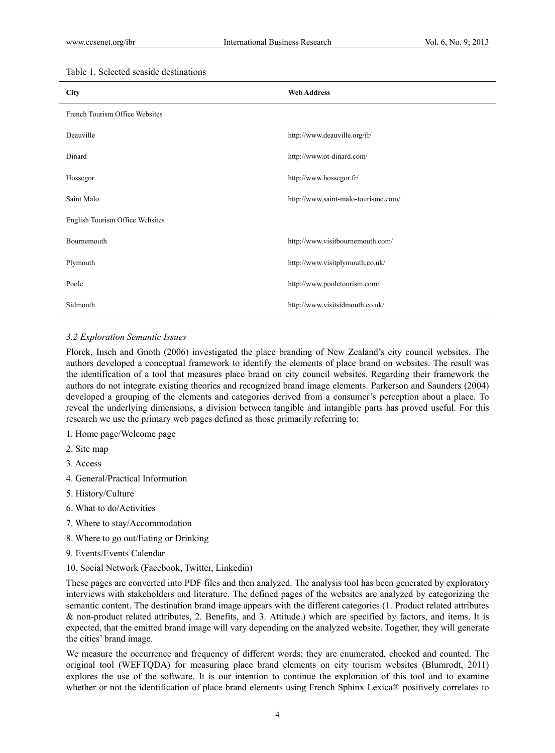#### Table 1. Selected seaside destinations

| <b>City</b>                     | <b>Web Address</b>                  |
|---------------------------------|-------------------------------------|
| French Tourism Office Websites  |                                     |
| Deauville                       | http://www.deauville.org/fr/        |
| Dinard                          | http://www.ot-dinard.com/           |
| Hossegor                        | http://www.hossegor.fr/             |
| Saint Malo                      | http://www.saint-malo-tourisme.com/ |
| English Tourism Office Websites |                                     |
| Bournemouth                     | http://www.visitbournemouth.com/    |
| Plymouth                        | http://www.visitplymouth.co.uk/     |
| Poole                           | http://www.pooletourism.com/        |
| Sidmouth                        | http://www.visitsidmouth.co.uk/     |

#### *3.2 Exploration Semantic Issues*

Florek, Insch and Gnoth (2006) investigated the place branding of New Zealand's city council websites. The authors developed a conceptual framework to identify the elements of place brand on websites. The result was the identification of a tool that measures place brand on city council websites. Regarding their framework the authors do not integrate existing theories and recognized brand image elements. Parkerson and Saunders (2004) developed a grouping of the elements and categories derived from a consumer's perception about a place. To reveal the underlying dimensions, a division between tangible and intangible parts has proved useful. For this research we use the primary web pages defined as those primarily referring to:

- 1. Home page/Welcome page
- 2. Site map
- 3. Access
- 4. General/Practical Information
- 5. History/Culture
- 6. What to do/Activities
- 7. Where to stay/Accommodation
- 8. Where to go out/Eating or Drinking
- 9. Events/Events Calendar
- 10. Social Network (Facebook, Twitter, Linkedin)

These pages are converted into PDF files and then analyzed. The analysis tool has been generated by exploratory interviews with stakeholders and literature. The defined pages of the websites are analyzed by categorizing the semantic content. The destination brand image appears with the different categories (1. Product related attributes & non-product related attributes, 2. Benefits, and 3. Attitude.) which are specified by factors, and items. It is expected, that the emitted brand image will vary depending on the analyzed website. Together, they will generate the cities' brand image.

We measure the occurrence and frequency of different words; they are enumerated, checked and counted. The original tool (WEFTQDA) for measuring place brand elements on city tourism websites (Blumrodt, 2011) explores the use of the software. It is our intention to continue the exploration of this tool and to examine whether or not the identification of place brand elements using French Sphinx Lexica® positively correlates to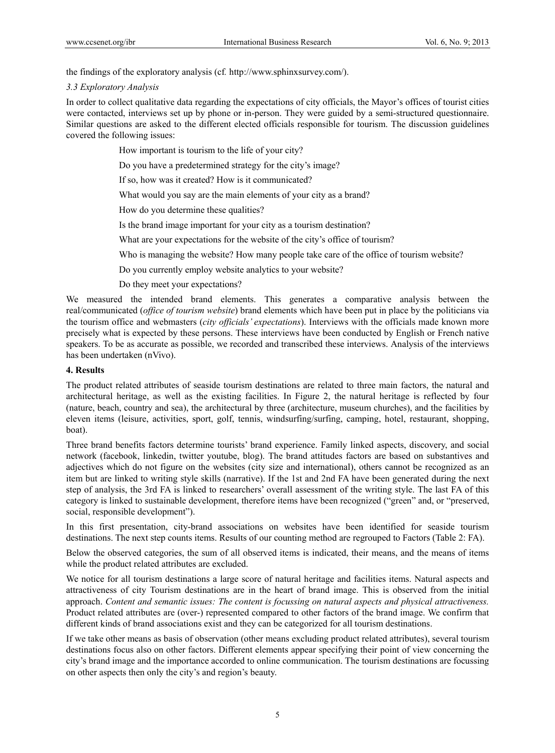the findings of the exploratory analysis (cf*.* http://www.sphinxsurvey.com/).

# *3.3 Exploratory Analysis*

In order to collect qualitative data regarding the expectations of city officials, the Mayor's offices of tourist cities were contacted, interviews set up by phone or in-person. They were guided by a semi-structured questionnaire. Similar questions are asked to the different elected officials responsible for tourism. The discussion guidelines covered the following issues:

How important is tourism to the life of your city?

Do you have a predetermined strategy for the city's image?

If so, how was it created? How is it communicated?

What would you say are the main elements of your city as a brand?

How do you determine these qualities?

Is the brand image important for your city as a tourism destination?

What are your expectations for the website of the city's office of tourism?

Who is managing the website? How many people take care of the office of tourism website?

Do you currently employ website analytics to your website?

Do they meet your expectations?

We measured the intended brand elements. This generates a comparative analysis between the real/communicated (*office of tourism website*) brand elements which have been put in place by the politicians via the tourism office and webmasters (*city officials' expectations*). Interviews with the officials made known more precisely what is expected by these persons. These interviews have been conducted by English or French native speakers. To be as accurate as possible, we recorded and transcribed these interviews. Analysis of the interviews has been undertaken (nVivo).

# **4. Results**

The product related attributes of seaside tourism destinations are related to three main factors, the natural and architectural heritage, as well as the existing facilities. In Figure 2, the natural heritage is reflected by four (nature, beach, country and sea), the architectural by three (architecture, museum churches), and the facilities by eleven items (leisure, activities, sport, golf, tennis, windsurfing/surfing, camping, hotel, restaurant, shopping, boat).

Three brand benefits factors determine tourists' brand experience. Family linked aspects, discovery, and social network (facebook, linkedin, twitter youtube, blog). The brand attitudes factors are based on substantives and adjectives which do not figure on the websites (city size and international), others cannot be recognized as an item but are linked to writing style skills (narrative). If the 1st and 2nd FA have been generated during the next step of analysis, the 3rd FA is linked to researchers' overall assessment of the writing style. The last FA of this category is linked to sustainable development, therefore items have been recognized ("green" and, or "preserved, social, responsible development").

In this first presentation, city-brand associations on websites have been identified for seaside tourism destinations. The next step counts items. Results of our counting method are regrouped to Factors (Table 2: FA).

Below the observed categories, the sum of all observed items is indicated, their means, and the means of items while the product related attributes are excluded.

We notice for all tourism destinations a large score of natural heritage and facilities items. Natural aspects and attractiveness of city Tourism destinations are in the heart of brand image. This is observed from the initial approach. *Content and semantic issues: The content is focussing on natural aspects and physical attractiveness.* Product related attributes are (over-) represented compared to other factors of the brand image. We confirm that different kinds of brand associations exist and they can be categorized for all tourism destinations.

If we take other means as basis of observation (other means excluding product related attributes), several tourism destinations focus also on other factors. Different elements appear specifying their point of view concerning the city's brand image and the importance accorded to online communication. The tourism destinations are focussing on other aspects then only the city's and region's beauty.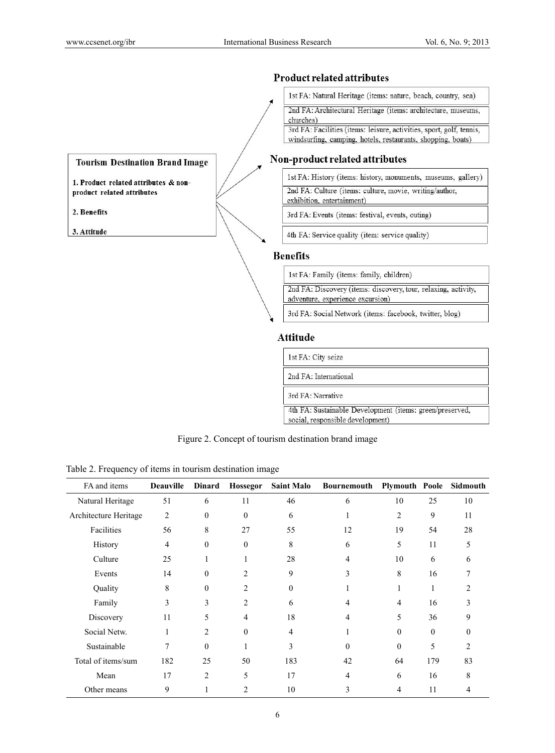**Product related attributes** 



```
4th FA: Sustainable Development (items: green/preserved,
social, responsible development)
```
Figure 2. Concept of tourism destination brand image

Table 2. Frequency of items in tourism destination image

| FA and items          | <b>Deauville</b> | <b>Dinard</b>  | Hossegor       | <b>Saint Malo</b> | Bournemouth |          |          | Plymouth Poole Sidmouth |
|-----------------------|------------------|----------------|----------------|-------------------|-------------|----------|----------|-------------------------|
| Natural Heritage      | 51               | 6              | 11             | 46                | 6           | 10       | 25       | 10                      |
| Architecture Heritage | $\overline{2}$   | $\theta$       | $\Omega$       | 6                 |             | 2        | 9        | 11                      |
| Facilities            | 56               | 8              | 27             | 55                | 12          | 19       | 54       | 28                      |
| <b>History</b>        | 4                | $\Omega$       | $\Omega$       | 8                 | 6           | 5        | 11       | 5                       |
| Culture               | 25               |                | 1              | 28                | 4           | 10       | 6        | 6                       |
| Events                | 14               | $\Omega$       | $\overline{2}$ | 9                 | 3           | 8        | 16       |                         |
| Quality               | 8                | $\theta$       | 2              | $\theta$          |             |          |          | 2                       |
| Family                | 3                | 3              | $\overline{2}$ | 6                 | 4           | 4        | 16       | 3                       |
| Discovery             | 11               | 5              | 4              | 18                | 4           | 5        | 36       | 9                       |
| Social Netw.          | 1                | 2              | $\Omega$       | 4                 |             | $\Omega$ | $\Omega$ | 0                       |
| Sustainable           | 7                | $\Omega$       |                | 3                 | $\Omega$    | $\Omega$ | 5        | 2                       |
| Total of items/sum    | 182              | 25             | 50             | 183               | 42          | 64       | 179      | 83                      |
| Mean                  | 17               | $\overline{c}$ | 5              | 17                | 4           | 6        | 16       | 8                       |
| Other means           | 9                |                | 2              | 10                | 3           | 4        | 11       | 4                       |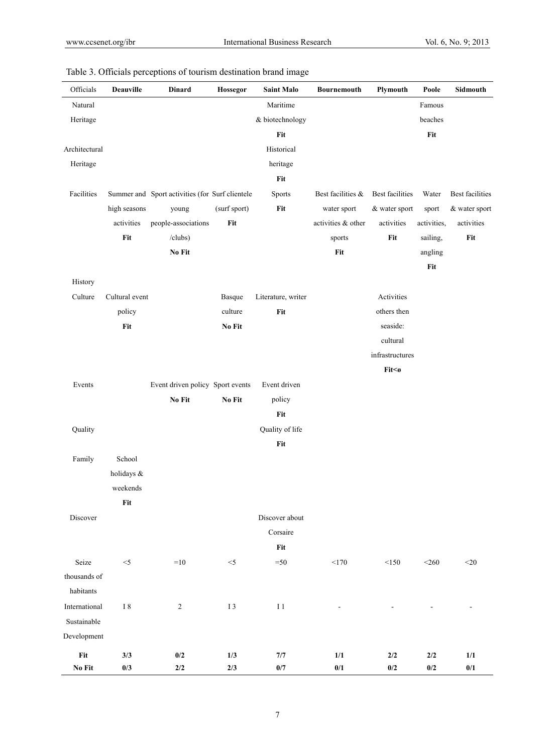| Officials     | <b>Deauville</b> | <b>Dinard</b>                                   | Hossegor     | <b>Saint Malo</b>  | <b>Bournemouth</b> | Plymouth               | Poole        | Sidmouth               |
|---------------|------------------|-------------------------------------------------|--------------|--------------------|--------------------|------------------------|--------------|------------------------|
| Natural       |                  |                                                 |              | Maritime           |                    |                        | Famous       |                        |
| Heritage      |                  |                                                 |              | & biotechnology    |                    |                        | beaches      |                        |
|               |                  |                                                 |              | Fit                |                    |                        | Fit          |                        |
| Architectural |                  |                                                 |              | Historical         |                    |                        |              |                        |
| Heritage      |                  |                                                 |              | heritage           |                    |                        |              |                        |
|               |                  |                                                 |              | Fit                |                    |                        |              |                        |
| Facilities    |                  | Summer and Sport activities (for Surf clientele |              | Sports             | Best facilities &  | <b>Best facilities</b> | Water        | <b>Best facilities</b> |
|               | high seasons     | young                                           | (surf sport) | Fit                | water sport        | & water sport          | sport        | & water sport          |
|               | activities       | people-associations                             | Fit          |                    | activities & other | activities             | activities,  | activities             |
|               | Fit              | /clubs)                                         |              |                    | sports             | Fit                    | sailing,     | Fit                    |
|               |                  | No Fit                                          |              |                    | Fit                |                        | angling      |                        |
|               |                  |                                                 |              |                    |                    |                        | Fit          |                        |
| History       |                  |                                                 |              |                    |                    |                        |              |                        |
| Culture       | Cultural event   |                                                 | Basque       | Literature, writer |                    | Activities             |              |                        |
|               | policy           |                                                 | culture      | Fit                |                    | others then            |              |                        |
|               | Fit              |                                                 | No Fit       |                    |                    | seaside:               |              |                        |
|               |                  |                                                 |              |                    |                    | cultural               |              |                        |
|               |                  |                                                 |              |                    |                    | infrastructures        |              |                        |
|               |                  |                                                 |              |                    |                    | Fit <sub>0</sub>       |              |                        |
| Events        |                  | Event driven policy Sport events                |              | Event driven       |                    |                        |              |                        |
|               |                  | No Fit                                          | No Fit       | policy             |                    |                        |              |                        |
|               |                  |                                                 |              | Fit                |                    |                        |              |                        |
| Quality       |                  |                                                 |              | Quality of life    |                    |                        |              |                        |
|               |                  |                                                 |              | Fit                |                    |                        |              |                        |
| Family        | School           |                                                 |              |                    |                    |                        |              |                        |
|               | holidays &       |                                                 |              |                    |                    |                        |              |                        |
|               | weekends         |                                                 |              |                    |                    |                        |              |                        |
|               | Fit              |                                                 |              |                    |                    |                        |              |                        |
| Discover      |                  |                                                 |              | Discover about     |                    |                        |              |                        |
|               |                  |                                                 |              | Corsaire           |                    |                        |              |                        |
|               |                  |                                                 |              | Fit                |                    |                        |              |                        |
| Seize         | $<\!\!5$         | $=10$                                           | $<$ 5        | $=50$              | <170               | $<150$                 | $<$ 260 $\,$ | $< \! \! 20$           |
| thousands of  |                  |                                                 |              |                    |                    |                        |              |                        |
| habitants     |                  |                                                 |              |                    |                    |                        |              |                        |
| International | $\,$ I $\,$      | $\sqrt{2}$                                      | $\rm I$ 3    | $\!1$              |                    |                        |              |                        |
| Sustainable   |                  |                                                 |              |                    |                    |                        |              |                        |
| Development   |                  |                                                 |              |                    |                    |                        |              |                        |
| Fit           | 3/3              | 0/2                                             | 1/3          | 7/7                | 1/1                | $2/2\,$                | 2/2          | 1/1                    |
| $\bf{No}$ Fit | $0/3$            | $2/2\,$                                         | $2/3$        | $0/7\,$            | $0/1\,$            | $0/2\,$                | $0/2\,$      | $0/1$                  |

# Table 3. Officials perceptions of tourism destination brand image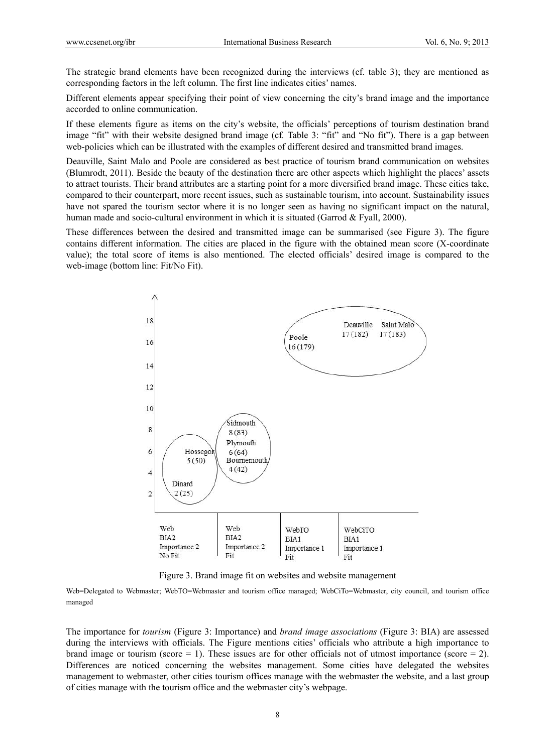The strategic brand elements have been recognized during the interviews (cf. table 3); they are mentioned as corresponding factors in the left column. The first line indicates cities' names.

Different elements appear specifying their point of view concerning the city's brand image and the importance accorded to online communication.

If these elements figure as items on the city's website, the officials' perceptions of tourism destination brand image "fit" with their website designed brand image (cf*.* Table 3: "fit" and "No fit"). There is a gap between web-policies which can be illustrated with the examples of different desired and transmitted brand images.

Deauville, Saint Malo and Poole are considered as best practice of tourism brand communication on websites (Blumrodt, 2011). Beside the beauty of the destination there are other aspects which highlight the places' assets to attract tourists. Their brand attributes are a starting point for a more diversified brand image. These cities take, compared to their counterpart, more recent issues, such as sustainable tourism, into account. Sustainability issues have not spared the tourism sector where it is no longer seen as having no significant impact on the natural, human made and socio-cultural environment in which it is situated (Garrod & Fyall, 2000).

These differences between the desired and transmitted image can be summarised (see Figure 3). The figure contains different information. The cities are placed in the figure with the obtained mean score (X-coordinate value); the total score of items is also mentioned. The elected officials' desired image is compared to the web-image (bottom line: Fit/No Fit).



Figure 3. Brand image fit on websites and website management

Web=Delegated to Webmaster; WebTO=Webmaster and tourism office managed; WebCiTo=Webmaster, city council, and tourism office managed

The importance for *tourism* (Figure 3: Importance) and *brand image associations* (Figure 3: BIA) are assessed during the interviews with officials. The Figure mentions cities' officials who attribute a high importance to brand image or tourism (score = 1). These issues are for other officials not of utmost importance (score = 2). Differences are noticed concerning the websites management. Some cities have delegated the websites management to webmaster, other cities tourism offices manage with the webmaster the website, and a last group of cities manage with the tourism office and the webmaster city's webpage.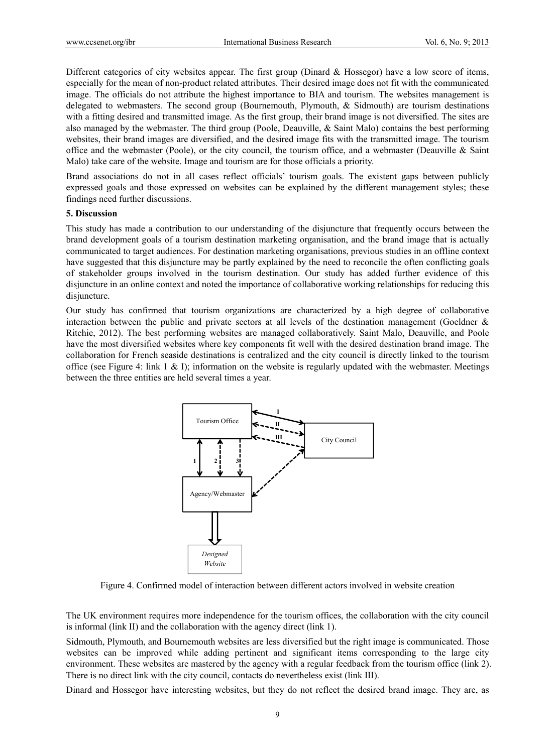Different categories of city websites appear. The first group (Dinard & Hossegor) have a low score of items, especially for the mean of non-product related attributes. Their desired image does not fit with the communicated image. The officials do not attribute the highest importance to BIA and tourism. The websites management is delegated to webmasters. The second group (Bournemouth, Plymouth, & Sidmouth) are tourism destinations with a fitting desired and transmitted image. As the first group, their brand image is not diversified. The sites are also managed by the webmaster. The third group (Poole, Deauville, & Saint Malo) contains the best performing websites, their brand images are diversified, and the desired image fits with the transmitted image. The tourism office and the webmaster (Poole), or the city council, the tourism office, and a webmaster (Deauville & Saint Malo) take care of the website. Image and tourism are for those officials a priority.

Brand associations do not in all cases reflect officials' tourism goals. The existent gaps between publicly expressed goals and those expressed on websites can be explained by the different management styles; these findings need further discussions.

#### **5. Discussion**

This study has made a contribution to our understanding of the disjuncture that frequently occurs between the brand development goals of a tourism destination marketing organisation, and the brand image that is actually communicated to target audiences. For destination marketing organisations, previous studies in an offline context have suggested that this disjuncture may be partly explained by the need to reconcile the often conflicting goals of stakeholder groups involved in the tourism destination. Our study has added further evidence of this disjuncture in an online context and noted the importance of collaborative working relationships for reducing this disjuncture.

Our study has confirmed that tourism organizations are characterized by a high degree of collaborative interaction between the public and private sectors at all levels of the destination management (Goeldner  $\&$ Ritchie, 2012). The best performing websites are managed collaboratively. Saint Malo, Deauville, and Poole have the most diversified websites where key components fit well with the desired destination brand image. The collaboration for French seaside destinations is centralized and the city council is directly linked to the tourism office (see Figure 4: link  $1 \& 1$ ); information on the website is regularly updated with the webmaster. Meetings between the three entities are held several times a year.



Figure 4. Confirmed model of interaction between different actors involved in website creation

The UK environment requires more independence for the tourism offices, the collaboration with the city council is informal (link II) and the collaboration with the agency direct (link 1).

Sidmouth, Plymouth, and Bournemouth websites are less diversified but the right image is communicated. Those websites can be improved while adding pertinent and significant items corresponding to the large city environment. These websites are mastered by the agency with a regular feedback from the tourism office (link 2). There is no direct link with the city council, contacts do nevertheless exist (link III).

Dinard and Hossegor have interesting websites, but they do not reflect the desired brand image. They are, as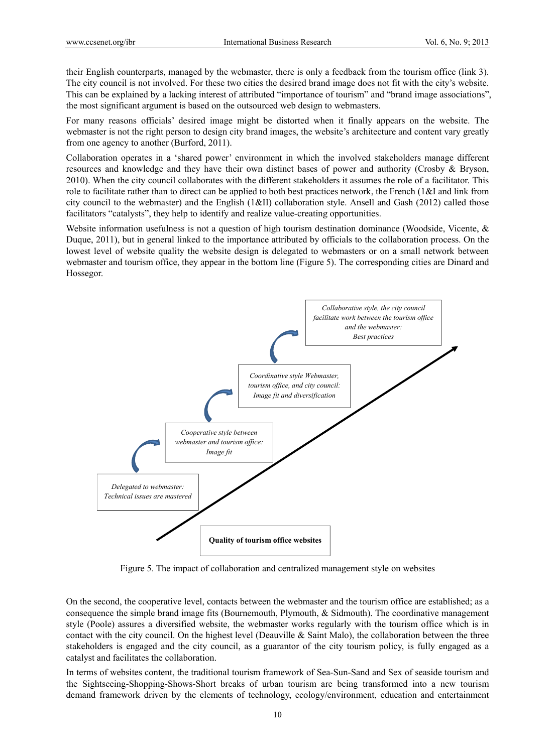their English counterparts, managed by the webmaster, there is only a feedback from the tourism office (link 3). The city council is not involved. For these two cities the desired brand image does not fit with the city's website. This can be explained by a lacking interest of attributed "importance of tourism" and "brand image associations", the most significant argument is based on the outsourced web design to webmasters.

For many reasons officials' desired image might be distorted when it finally appears on the website. The webmaster is not the right person to design city brand images, the website's architecture and content vary greatly from one agency to another (Burford, 2011).

Collaboration operates in a 'shared power' environment in which the involved stakeholders manage different resources and knowledge and they have their own distinct bases of power and authority (Crosby & Bryson, 2010). When the city council collaborates with the different stakeholders it assumes the role of a facilitator. This role to facilitate rather than to direct can be applied to both best practices network, the French (1&I and link from city council to the webmaster) and the English (1&II) collaboration style. Ansell and Gash (2012) called those facilitators "catalysts", they help to identify and realize value-creating opportunities.

Website information usefulness is not a question of high tourism destination dominance (Woodside, Vicente, & Duque, 2011), but in general linked to the importance attributed by officials to the collaboration process. On the lowest level of website quality the website design is delegated to webmasters or on a small network between webmaster and tourism office, they appear in the bottom line (Figure 5). The corresponding cities are Dinard and Hossegor.



Figure 5. The impact of collaboration and centralized management style on websites

On the second, the cooperative level, contacts between the webmaster and the tourism office are established; as a consequence the simple brand image fits (Bournemouth, Plymouth, & Sidmouth). The coordinative management style (Poole) assures a diversified website, the webmaster works regularly with the tourism office which is in contact with the city council. On the highest level (Deauville & Saint Malo), the collaboration between the three stakeholders is engaged and the city council, as a guarantor of the city tourism policy, is fully engaged as a catalyst and facilitates the collaboration.

In terms of websites content, the traditional tourism framework of Sea-Sun-Sand and Sex of seaside tourism and the Sightseeing-Shopping-Shows-Short breaks of urban tourism are being transformed into a new tourism demand framework driven by the elements of technology, ecology/environment, education and entertainment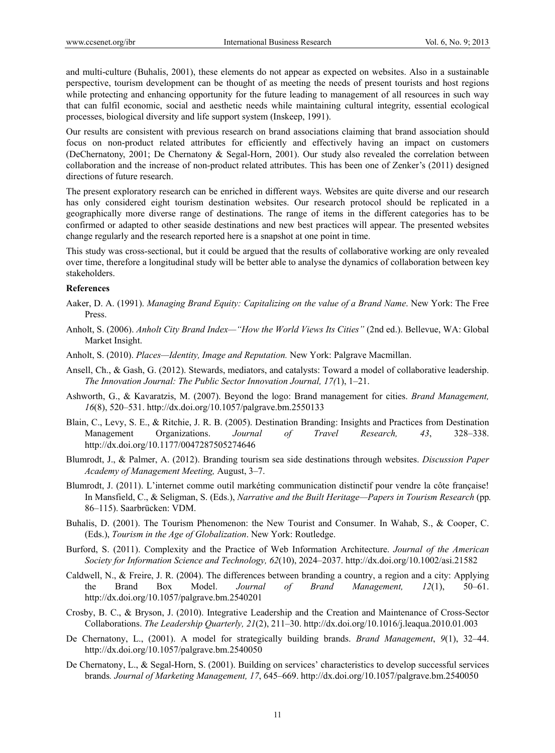and multi-culture (Buhalis, 2001), these elements do not appear as expected on websites. Also in a sustainable perspective, tourism development can be thought of as meeting the needs of present tourists and host regions while protecting and enhancing opportunity for the future leading to management of all resources in such way that can fulfil economic, social and aesthetic needs while maintaining cultural integrity, essential ecological processes, biological diversity and life support system (Inskeep, 1991).

Our results are consistent with previous research on brand associations claiming that brand association should focus on non-product related attributes for efficiently and effectively having an impact on customers (DeChernatony, 2001; De Chernatony & Segal-Horn, 2001). Our study also revealed the correlation between collaboration and the increase of non-product related attributes. This has been one of Zenker's (2011) designed directions of future research.

The present exploratory research can be enriched in different ways. Websites are quite diverse and our research has only considered eight tourism destination websites. Our research protocol should be replicated in a geographically more diverse range of destinations. The range of items in the different categories has to be confirmed or adapted to other seaside destinations and new best practices will appear. The presented websites change regularly and the research reported here is a snapshot at one point in time.

This study was cross-sectional, but it could be argued that the results of collaborative working are only revealed over time, therefore a longitudinal study will be better able to analyse the dynamics of collaboration between key stakeholders.

#### **References**

- Aaker, D. A. (1991). *Managing Brand Equity: Capitalizing on the value of a Brand Name*. New York: The Free Press.
- Anholt, S. (2006). *Anholt City Brand Index—"How the World Views Its Cities"* (2nd ed.). Bellevue, WA: Global Market Insight.
- Anholt, S. (2010). *Places—Identity, Image and Reputation.* New York: Palgrave Macmillan.
- Ansell, Ch., & Gash, G. (2012). Stewards, mediators, and catalysts: Toward a model of collaborative leadership. *The Innovation Journal: The Public Sector Innovation Journal, 17(*1), 1–21.
- Ashworth, G., & Kavaratzis, M. (2007). Beyond the logo: Brand management for cities. *Brand Management, 16*(8), 520–531. http://dx.doi.org/10.1057/palgrave.bm.2550133
- Blain, C., Levy, S. E., & Ritchie, J. R. B. (2005). Destination Branding: Insights and Practices from Destination Management Organizations. *Journal of Travel Research, 43*, 328–338. http://dx.doi.org/10.1177/0047287505274646
- Blumrodt, J., & Palmer, A. (2012). Branding tourism sea side destinations through websites. *Discussion Paper Academy of Management Meeting,* August, 3–7.
- Blumrodt, J. (2011). L'internet comme outil markéting communication distinctif pour vendre la côte française! In Mansfield, C., & Seligman, S. (Eds.), *Narrative and the Built Heritage—Papers in Tourism Research* (pp. 86–115). Saarbrücken: VDM.
- Buhalis, D. (2001). The Tourism Phenomenon: the New Tourist and Consumer. In Wahab, S., & Cooper, C. (Eds.), *Tourism in the Age of Globalization*. New York: Routledge.
- Burford, S. (2011). Complexity and the Practice of Web Information Architecture. *Journal of the American Society for Information Science and Technology, 62*(10), 2024–2037. http://dx.doi.org/10.1002/asi.21582
- Caldwell, N., & Freire, J. R. (2004). The differences between branding a country, a region and a city: Applying the Brand Box Model. *Journal of Brand Management, 12*(1), 50–61. http://dx.doi.org/10.1057/palgrave.bm.2540201
- Crosby, B. C., & Bryson, J. (2010). Integrative Leadership and the Creation and Maintenance of Cross-Sector Collaborations. *The Leadership Quarterly, 21*(2), 211–30. http://dx.doi.org/10.1016/j.leaqua.2010.01.003
- De Chernatony, L., (2001). A model for strategically building brands. *Brand Management*, *9*(1), 32–44. http://dx.doi.org/10.1057/palgrave.bm.2540050
- De Chernatony, L., & Segal-Horn, S. (2001). Building on services' characteristics to develop successful services brands*. Journal of Marketing Management, 17*, 645–669. http://dx.doi.org/10.1057/palgrave.bm.2540050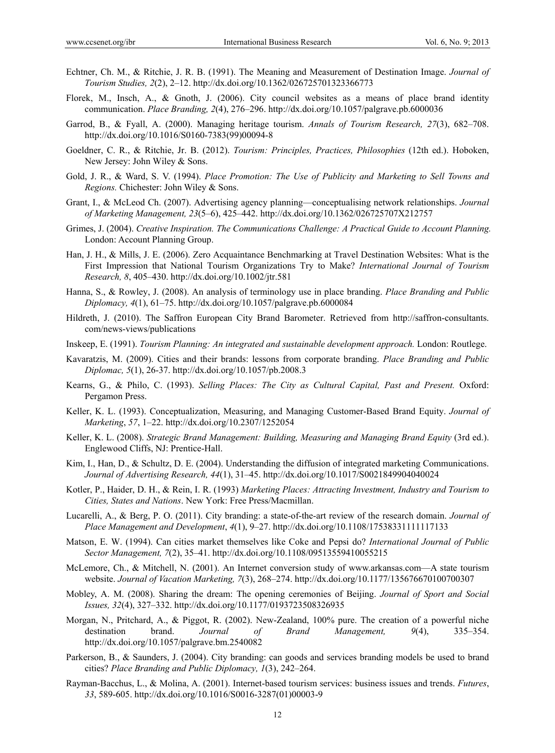- Echtner, Ch. M., & Ritchie, J. R. B. (1991). The Meaning and Measurement of Destination Image. *Journal of Tourism Studies, 2*(2), 2–12. http://dx.doi.org/10.1362/026725701323366773
- Florek, M., Insch, A., & Gnoth, J. (2006). City council websites as a means of place brand identity communication. *Place Branding, 2*(4), 276–296. http://dx.doi.org/10.1057/palgrave.pb.6000036
- Garrod, B., & Fyall, A. (2000). Managing heritage tourism. *Annals of Tourism Research, 27*(3), 682–708. http://dx.doi.org/10.1016/S0160-7383(99)00094-8
- Goeldner, C. R., & Ritchie, Jr. B. (2012). *Tourism: Principles, Practices, Philosophies* (12th ed.). Hoboken, New Jersey: John Wiley & Sons.
- Gold, J. R., & Ward, S. V. (1994). *Place Promotion: The Use of Publicity and Marketing to Sell Towns and Regions.* Chichester: John Wiley & Sons.
- Grant, I., & McLeod Ch. (2007). Advertising agency planning—conceptualising network relationships. *Journal of Marketing Management, 23*(5–6), 425–442. http://dx.doi.org/10.1362/026725707X212757
- Grimes, J. (2004). *Creative Inspiration. The Communications Challenge: A Practical Guide to Account Planning.*  London: Account Planning Group.
- Han, J. H., & Mills, J. E. (2006). Zero Acquaintance Benchmarking at Travel Destination Websites: What is the First Impression that National Tourism Organizations Try to Make? *International Journal of Tourism Research, 8*, 405–430. http://dx.doi.org/10.1002/jtr.581
- Hanna, S., & Rowley, J. (2008). An analysis of terminology use in place branding. *Place Branding and Public Diplomacy, 4*(1), 61–75. http://dx.doi.org/10.1057/palgrave.pb.6000084
- Hildreth, J. (2010). The Saffron European City Brand Barometer. Retrieved from http://saffron-consultants. com/news-views/publications
- Inskeep, E. (1991). *Tourism Planning: An integrated and sustainable development approach.* London: Routlege.
- Kavaratzis, M. (2009). Cities and their brands: lessons from corporate branding. *Place Branding and Public Diplomac, 5*(1), 26-37. http://dx.doi.org/10.1057/pb.2008.3
- Kearns, G., & Philo, C. (1993). *Selling Places: The City as Cultural Capital, Past and Present.* Oxford: Pergamon Press.
- Keller, K. L. (1993). Conceptualization, Measuring, and Managing Customer-Based Brand Equity. *Journal of Marketing*, *57*, 1–22. http://dx.doi.org/10.2307/1252054
- Keller, K. L. (2008). *Strategic Brand Management: Building, Measuring and Managing Brand Equity* (3rd ed.). Englewood Cliffs, NJ: Prentice-Hall.
- Kim, I., Han, D., & Schultz, D. E. (2004). Understanding the diffusion of integrated marketing Communications. *Journal of Advertising Research, 44*(1), 31–45. http://dx.doi.org/10.1017/S0021849904040024
- Kotler, P., Haider, D. H., & Rein, I. R. (1993) *Marketing Places: Attracting Investment, Industry and Tourism to Cities, States and Nations*. New York: Free Press/Macmillan.
- Lucarelli, A., & Berg, P. O. (2011). City branding: a state-of-the-art review of the research domain. *Journal of Place Management and Development*, *4*(1), 9–27. http://dx.doi.org/10.1108/17538331111117133
- Matson, E. W. (1994). Can cities market themselves like Coke and Pepsi do? *International Journal of Public Sector Management, 7*(2), 35–41. http://dx.doi.org/10.1108/09513559410055215
- McLemore, Ch., & Mitchell, N. (2001). An Internet conversion study of www.arkansas.com—A state tourism website. *Journal of Vacation Marketing, 7*(3), 268–274. http://dx.doi.org/10.1177/135676670100700307
- Mobley, A. M. (2008). Sharing the dream: The opening ceremonies of Beijing. *Journal of Sport and Social Issues, 32*(4), 327–332. http://dx.doi.org/10.1177/0193723508326935
- Morgan, N., Pritchard, A., & Piggot, R. (2002). New-Zealand, 100% pure. The creation of a powerful niche destination brand. *Journal of Brand Management, 9*(4), 335–354. http://dx.doi.org/10.1057/palgrave.bm.2540082
- Parkerson, B., & Saunders, J. (2004). City branding: can goods and services branding models be used to brand cities? *Place Branding and Public Diplomacy, 1*(3), 242–264.
- Rayman-Bacchus, L., & Molina, A. (2001). Internet-based tourism services: business issues and trends. *Futures*, *33*, 589-605. http://dx.doi.org/10.1016/S0016-3287(01)00003-9